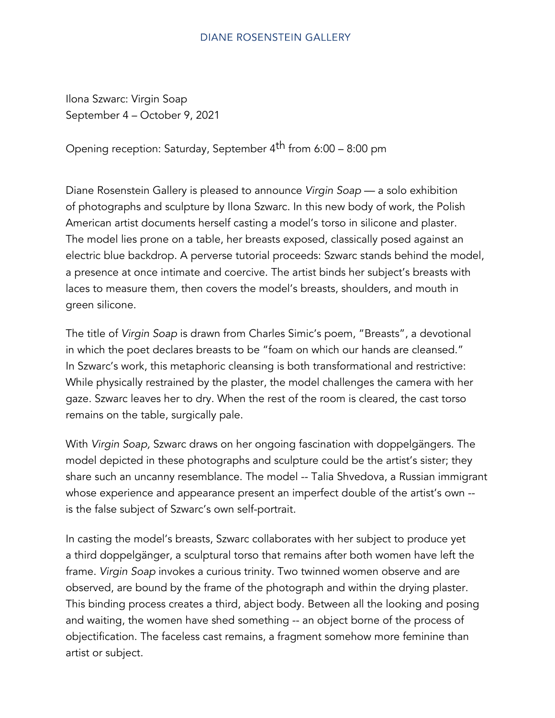## **DIANE ROSENSTEIN GALLERY**

Ilona Szwarc: Virgin Soap September 4 – October 9, 2021

Opening reception: Saturday, September 4<sup>th</sup> from 6:00 – 8:00 pm

Diane Rosenstein Gallery is pleased to announce Virgin Soap — a solo exhibition of photographs and sculpture by Ilona Szwarc. In this new body of work, the Polish American artist documents herself casting a model's torso in silicone and plaster. The model lies prone on a table, her breasts exposed, classically posed against an electric blue backdrop. A perverse tutorial proceeds: Szwarc stands behind the model, a presence at once intimate and coercive. The artist binds her subject's breasts with laces to measure them, then covers the model's breasts, shoulders, and mouth in green silicone.

The title of Virgin Soap is drawn from Charles Simic's poem, "Breasts", a devotional in which the poet declares breasts to be "foam on which our hands are cleansed." In Szwarc's work, this metaphoric cleansing is both transformational and restrictive: While physically restrained by the plaster, the model challenges the camera with her gaze. Szwarc leaves her to dry. When the rest of the room is cleared, the cast torso remains on the table, surgically pale.

With Virgin Soap, Szwarc draws on her ongoing fascination with doppelgängers. The model depicted in these photographs and sculpture could be the artist's sister; they share such an uncanny resemblance. The model -- Talia Shvedova, a Russian immigrant whose experience and appearance present an imperfect double of the artist's own - is the false subject of Szwarc's own self-portrait.

In casting the model's breasts, Szwarc collaborates with her subject to produce yet a third doppelgänger, a sculptural torso that remains after both women have left the frame. Virgin Soap invokes a curious trinity. Two twinned women observe and are observed, are bound by the frame of the photograph and within the drying plaster. This binding process creates a third, abject body. Between all the looking and posing and waiting, the women have shed something -- an object borne of the process of objectification. The faceless cast remains, a fragment somehow more feminine than artist or subject.